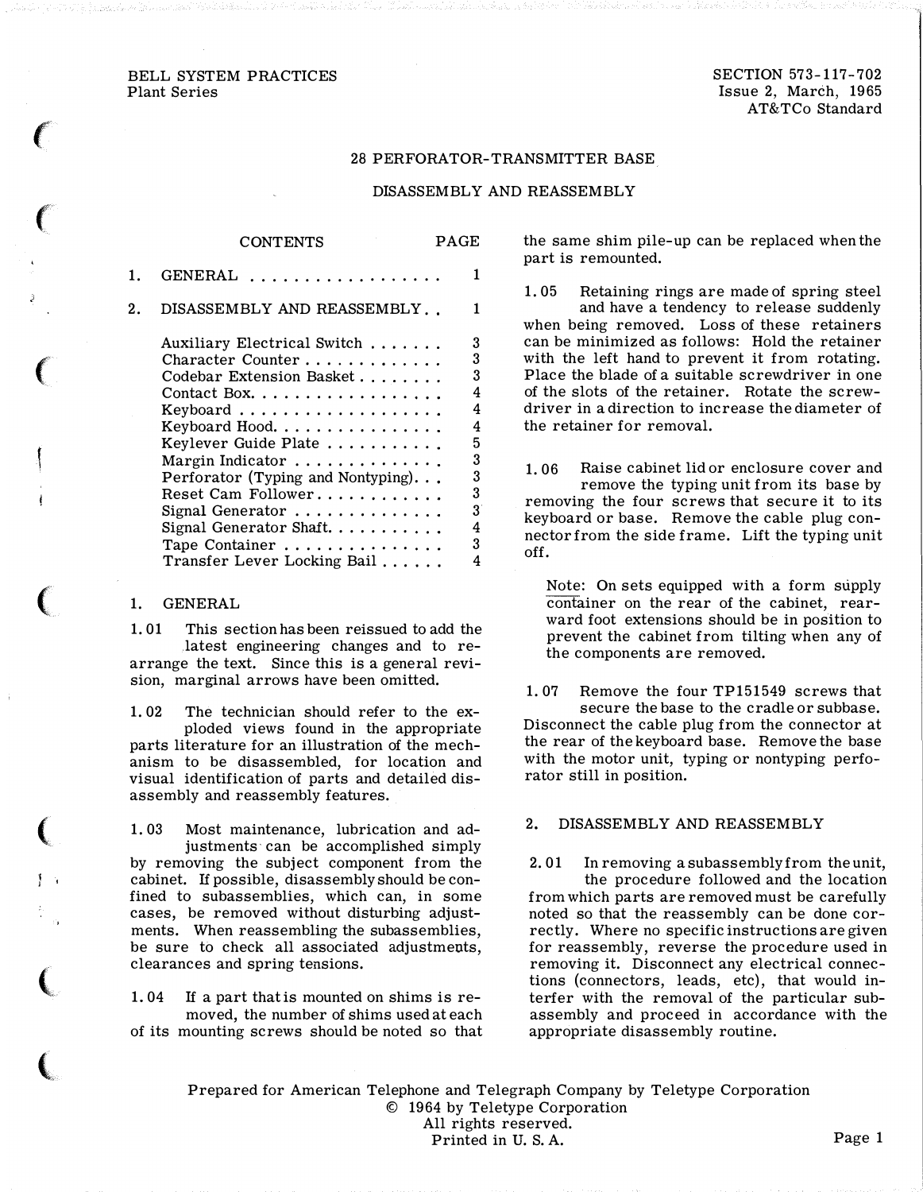#### BELL SYSTEM PRACTICES Plant Series

 $\ell^-$ 

 $\epsilon$ 

 $\big($ 

 $\big($ 

(

 $\big($ 

 $\overline{\mathbf{C}}$ 

SECTION 573-117-702 Issue 2, March, 1965 AT&TCo Standard

#### 28 PERFORATOR-TRANSMITTER BASE

### DISASSEMBLY AND REASSEMBLY

|    | <b>CONTENTS</b>                                                                                                                                                                                                                                                                | PAGE |                                                          |
|----|--------------------------------------------------------------------------------------------------------------------------------------------------------------------------------------------------------------------------------------------------------------------------------|------|----------------------------------------------------------|
| 1. | GENERAL<br>. <b>.</b> .                                                                                                                                                                                                                                                        |      | 1                                                        |
| 2. | DISASSEMBLY AND REASSEMBLY                                                                                                                                                                                                                                                     |      | 1                                                        |
|    | Auxiliary Electrical Switch<br>Character Counter<br>Codebar Extension Basket<br>Contact Box.<br>Keyboard Hood.<br>Keylever Guide Plate<br>Margin Indicator<br>Perforator (Typing and Nontyping).<br>Reset Cam Follower<br>Signal Generator<br>Signal Generator Shaft. $\ldots$ |      | 3<br>3<br>3<br>4<br>4<br>4<br>5<br>3<br>3<br>3<br>3<br>4 |
|    | Tape Container<br>Transfer Lever Locking Bail                                                                                                                                                                                                                                  |      | 3<br>4                                                   |

#### 1. GENERAL

1. 01 This section has been reissued to add the .latest engineering changes and to rearrange the text. Since this is a general revision, marginal arrows have been omitted.

1. 02 The technician should refer to the exploded views found in the appropriate parts literature for an illustration of the mechanism to be disassembled, for location and visual identification of parts and detailed disassembly and reassembly features.

1. 03 Most maintenance, lubrication and adjustments can be accomplished simply by removing the subject component from the cabinet. If possible, disassembly should be confined to subassemblies, which can, in some cases, be removed without disturbing adjustments. When reassembling the subassemblies, be sure to check all associated adjustments, clearances and spring tensions.

1. 04 If a part that is mounted on shims is removed, the number of shims used at each of its mounting screws should be noted so that the same shim pile-up can be replaced when the part is remounted.

1. 05 Retaining rings are made of spring steel and have a tendency to release suddenly when being removed. Loss of these retainers can be minimized as follows: Hold the retainer with the left hand to prevent it from rotating. Place the blade of a suitable screwdriver in one of the slots of the retainer. Rotate the screwdriver in a direction to increase the diameter of the retainer for removal.

1. 06 Raise cabinet lid or enclosure cover and remove the typing unit from its base by removing the four screws that secure it to its keyboard or base. Remove the cable plug connector from the side frame. Lift the typing unit off.

Note: On sets equipped with a form supply container on the rear of the cabinet, rearward foot extensions should be in position to prevent the cabinet from tilting when any of the components are removed.

1. 07 Remove the four TP151549 screws that secure the base to the cradle or subbase. Disconnect the cable plug from the connector at the rear of the keyboard base. Remove the base with the motor unit, typing or nontyping perforator still in position.

## 2. DISASSEMBLY AND REASSEMBLY

2. 01 In removing a subassembly from the unit, the procedure followed and the location from which parts are removed must be carefully noted so that the reassembly can be done correctly. Where no specific instructions are given for reassembly, reverse the procedure used in removing it. Disconnect any electrical connections (connectors, leads, etc), that would interfer with the removal of the particular subassembly and proceed in accordance with the appropriate disassembly routine.

Prepared for American Telephone and Telegraph Company by Teletype Corporation © 1964 by Teletype Corporation All rights reserved. Printed in U.S.A. Page 1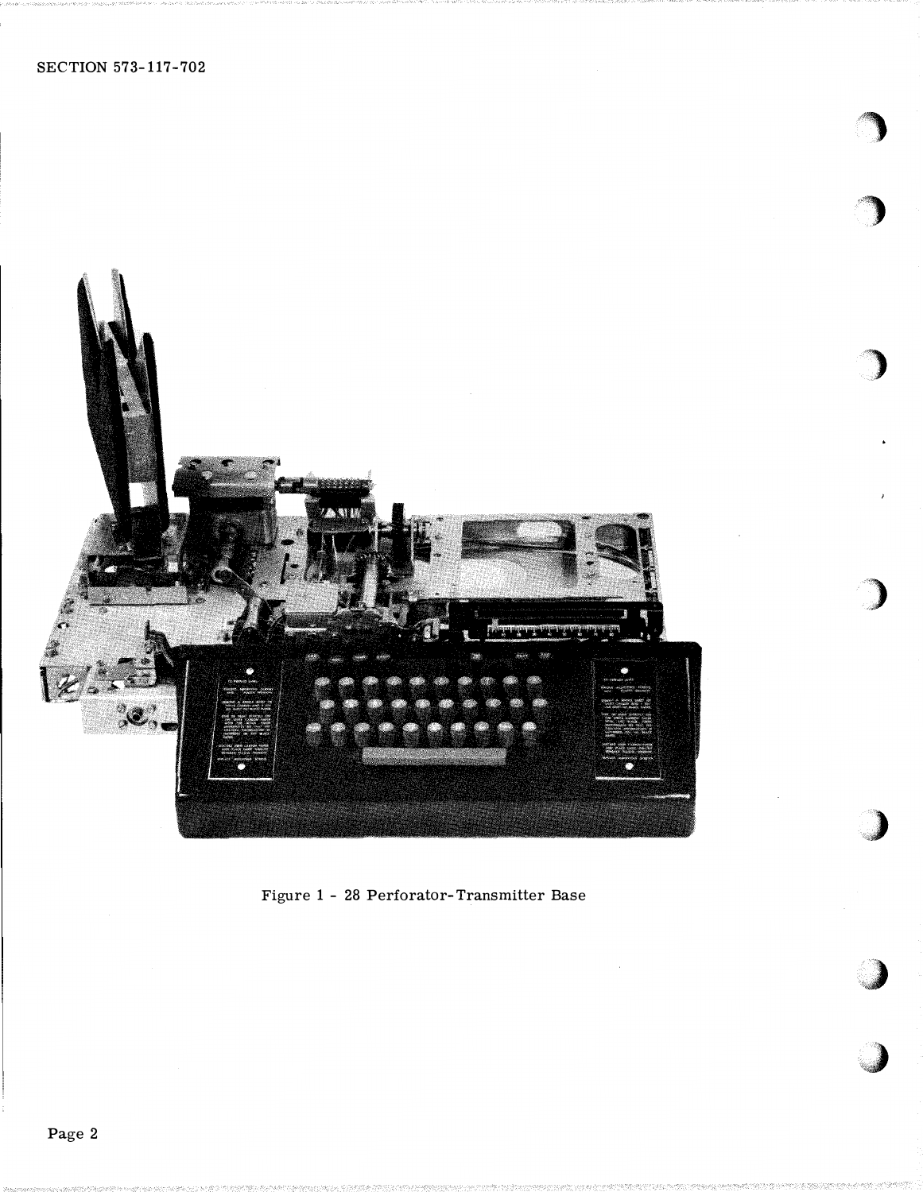

Figure 1 - 28 Perforator-Transmitter Base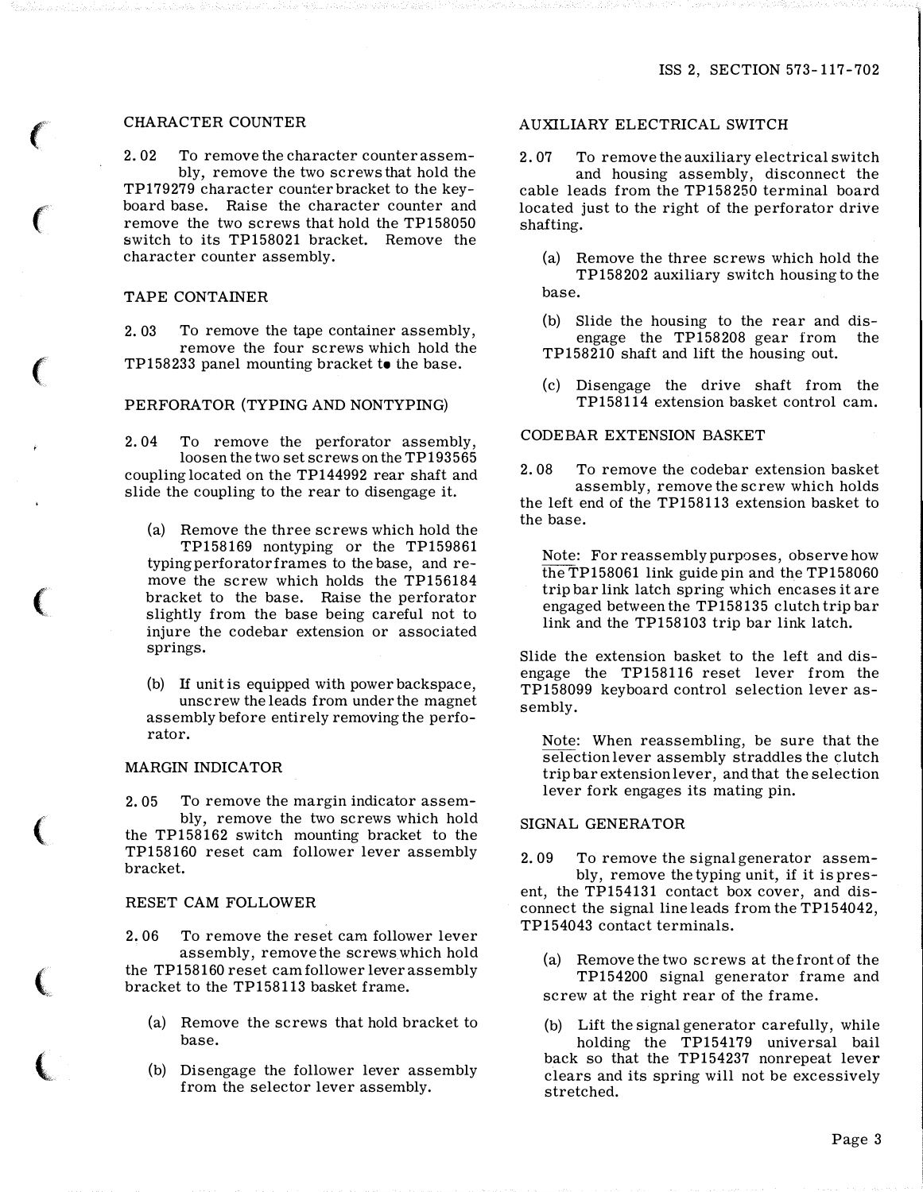# CHARACTER COUNTER

2. 02 To remove the character counter assembly, remove the two screws that hold the TP179279 character counter bracket to the keyboard base. Raise the character counter and remove the two screws that hold the TP158050 switch to its TP158021 bracket. Remove the character counter assembly.

### TAPE CONTAINER

2. 03 To remove the tape container assembly, remove the four screws which hold the TP158233 panel mounting bracket to the base.

# PERFORATOR (TYPING AND NONTYPING)

2. 04 To remove the perforator assembly, loosen the two set screws on the TP193565 coupling located on the TP144992 rear shaft and slide the coupling to the rear to disengage it.

(a) Remove the three screws which hold the TP158169 nontyping or the TP159861 typing perforator frames to the base, and remove the screw which holds the TP156184 bracket to the base. Raise the perforator slightly from the base being careful not to injure the codebar extension or associated springs.

(b) If unit is equipped with power backspace, unscrew the leads from under the magnet assembly before entirely removing the perforator.

## MARGIN INDICATOR

2. 05 To remove the margin indicator assembly, remove the two screws which hold the TP158162 switch mounting bracket to the TP158160 reset cam follower lever assembly bracket.

#### RESET CAM FOLLOWER

2. 06 To remove the reset cam follower lever assembly, remove the screws which hold the TP158160 reset cam follower lever assembly bracket to the TP158113 basket frame.

- (a) Remove the screws that hold bracket to base.
- (b) Disengage the follower lever assembly from the selector lever assembly.

## AUXILIARY ELECTRICAL SWITCH

2. 07 To remove the auxiliary electrical switch and housing assembly, disconnect the

cable leads from the TP158250 terminal board located just to the right of the perforator drive shafting.

- (a) Remove the three screws which hold the TP 158202 auxiliary switch housing to the base.
- (b) Slide the housing to the rear and disengage the TP158208 gear from the TP158210 shaft and lift the housing out.
- (c) Disengage the drive shaft from the TP158114 extension basket control cam.

# CODEBAR EXTENSION BASKET

2. 08 To remove the codebar extension basket assembly, remove the screw which holds the left end of the TP158113 extension basket to the base.

Note: For reassembly purposes, observe how the TP158061 link guide pin and the TP158060 trip bar link latch spring which encases it are engaged between the TP158135 clutch trip bar link and the TP158103 trip bar link latch.

Slide the extension basket to the left and disengage the TP158116 reset lever from the TP158099 keyboard control selection lever assembly.

Note: When reassembling, be sure that the selection lever assembly straddles the clutch trip bar extension lever, and that the selection lever fork engages its mating pin.

#### SIGNAL GENERA TOR

2. 09 To remove the signal generator assembly, remove the typing unit, if it is pres-

ent, the TP154131 contact box cover, and disconnect the signal line leads from the TP154042, TP154043 contact terminals.

- (a) Remove the two screws at the front of the TP154200 signal generator frame and screw at the right rear of the frame.
- (b) Lift the signal generator carefully, while holding the TP154179 universal bail back so that the TP154237 nonrepeat lever clears and its spring will not be excessively stretched.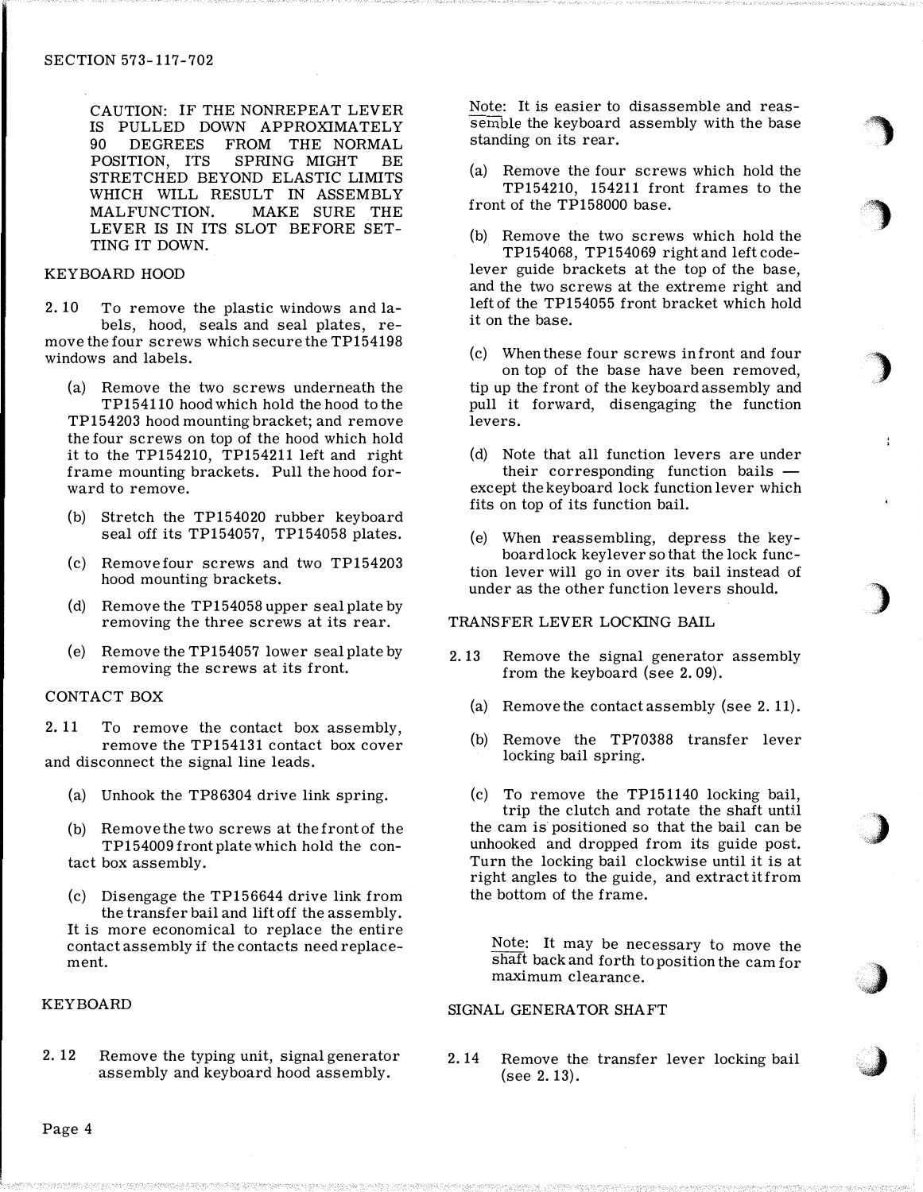CAUTION: IF THE NONREPEAT LEVER IS PULLED DOWN APPROXIMATELY 90 DEGREES FROM THE NORMAL POSITION, ITS SPRING MIGHT BE STRETCHED BEYOND ELASTIC LIMITS WHICH WILL RESULT IN ASSEMBLY MALFUNCTION. MAKE SURE THE LEVER IS IN ITS SLOT BEFORE SET-TING IT DOWN.

### KEYBOARD HOOD

2. 10 To remove the plastic windows and labels, hood, seals and seal plates, remove the four screws which secure the TP154198 windows and labels.

- (a) Remove the two screws underneath the TP154110 hood which hold the hood to the TP 154203 hood mounting bracket; and remove the four screws on top of the hood which hold it to the TP154210, TP154211 left and right frame mounting brackets. Pull the hood forward to remove.
- (b) Stretch the TP154020 rubber keyboard seal off its TP154057, TP154058 plates.
- (c) Remove four screws and two TP154203 hood mounting brackets.
- (d) Remove the TP154058 upper seal plate by removing the three screws at its rear.
- (e) Remove the TP154057 lower seal plate by removing the screws at its front.

#### CONTACT BOX

2. 11 To remove the contact box assembly, remove the TP154131 contact box cover and disconnect the signal line leads.

- (a) Unhook the TP86304 drive link spring.
- (b) Remove the two screws at the front of the TP154009 front plate which hold the contact box assembly.
- (c) Disengage the TP156644 drive link from the transfer bail and lift off the assembly. It is more economical to replace the entire contact assembly if the contacts need replacement.

# KEYBOARD

2. 12 Remove the typing unit, signal generator assembly and keyboard hood assembly.

Note: It is easier to disassemble and reassemble the keyboard assembly with the base standing on its rear.

(a) Remove the four screws which hold the TP154210, 154211 front frames to the front of the TP158000 base.

(b) Remove the two screws which hold the TP154068, TP154069 right and left codelever guide brackets at the top of the base, and the two screws at the extreme right and left of the TP154055 front bracket which hold it on the base.

(c) When these four screws in front and four on top of the base have been removed, tip up the front of the keyboard assembly and pull it forward, disengaging the function levers.

- (d) Note that all function levers are under their corresponding function bails  $$ except the keyboard lock function lever which fits on top of its function bail.
- (e) When reassembling, depress the keyboard lock key lever so that the lock function lever will go in over its bail instead of under as the other function levers should.

# TRANSFER LEVER LOCKING BAIL

- 2. 13 Remove the signal generator assembly from the keyboard (see 2. 09).
	- (a) Remove the contact assembly (see 2. 11).
	- (b) Remove the TP70388 transfer lever locking bail spring.
	- (c) To remove the TP151140 locking bail, trip the clutch and rotate the shaft until the cam is positioned so that the bail can be unhooked and dropped from its guide post. Turn the locking bail clockwise until it is at right angles to the guide, and extract it from the bottom of the frame.

Note: It may be necessary to move the shaft back and forth to position the cam for maximum clearance.

# SIGNAL GENERA TOR SHAFT

2. 14 Remove the transfer lever locking bail (see 2. 13).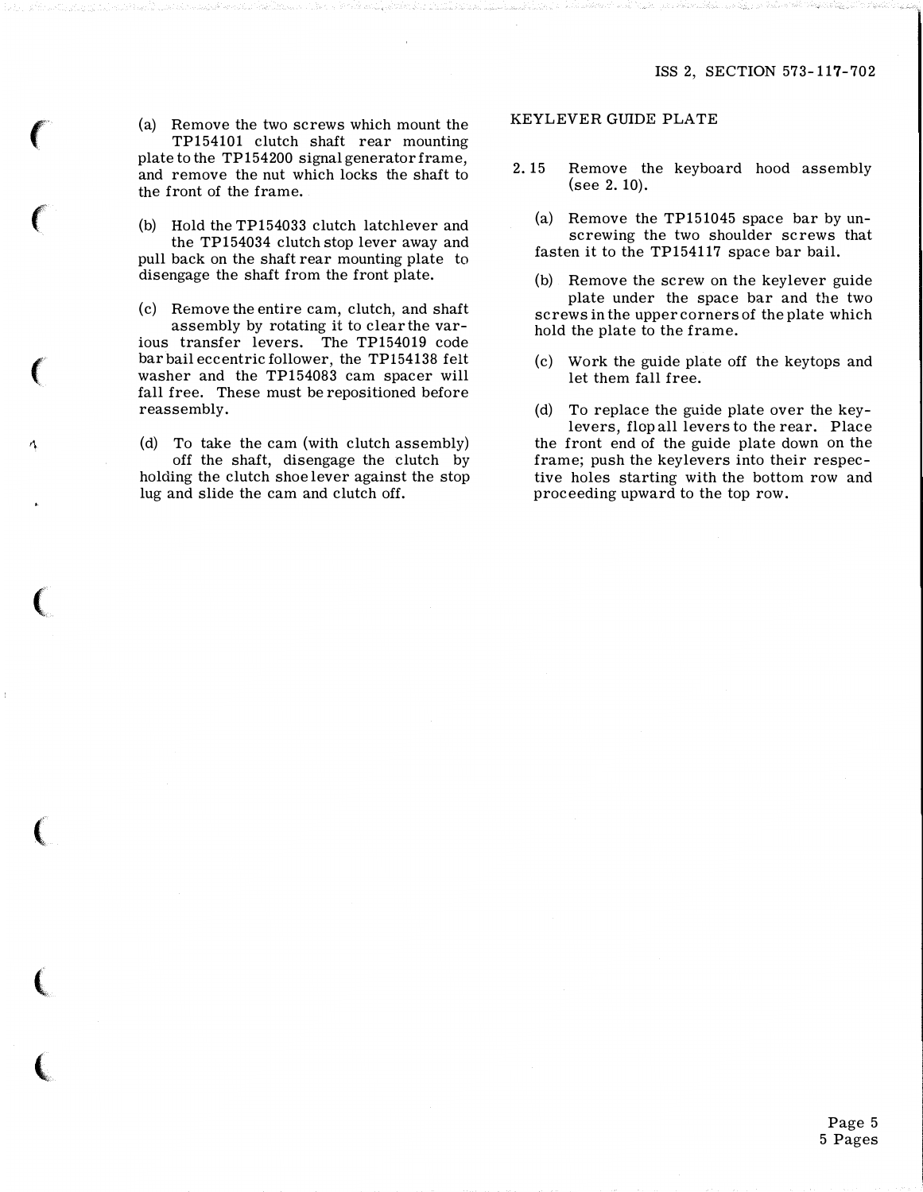(a) Remove the two screws which mount the TP154101 clutch shaft rear mounting plate to the TP 154200 signal generator frame, and remove the nut which locks the shaft to the front of the frame.

(b) Hold the TP154033 clutch latchlever and the TP154034 clutch stop lever away and pull back on the shaft rear mounting plate to disengage the shaft from the front plate.

(c) Remove the entire cam, clutch, and shaft assembly by rotating it to clear the various transfer levers. The TP154019 code

bar bail eccentric follower, the TP154138 felt washer and the TP154083 cam spacer will fall free. These must be repositioned before reassembly.

(d) To take the cam (with clutch assembly) off the shaft, disengage the clutch by holding the clutch shoe lever against the stop lug and slide the cam and clutch off.

r\

**CONTRACTOR** 

line and the control of the control of

#### KEYLEVER GUIDE PLATE

- 2. 15 Remove the keyboard hood assembly (see 2. 10).
	- (a) Remove the TP151045 space bar by unscrewing the two shoulder screws that fasten it to the TP154117 space bar bail.
	- (b) Remove the screw on the keylever guide plate under the space bar and the two screws in the upper corners of the plate which hold the plate to the frame.
	- (c) Work the guide plate off the keytops and let them fall free.

(d) To replace the guide plate over the keylevers, flop all levers to the rear. Place the front end of the guide plate down on the frame; push the keylevers into their respective holes starting with the bottom row and proceeding upward to the top row.